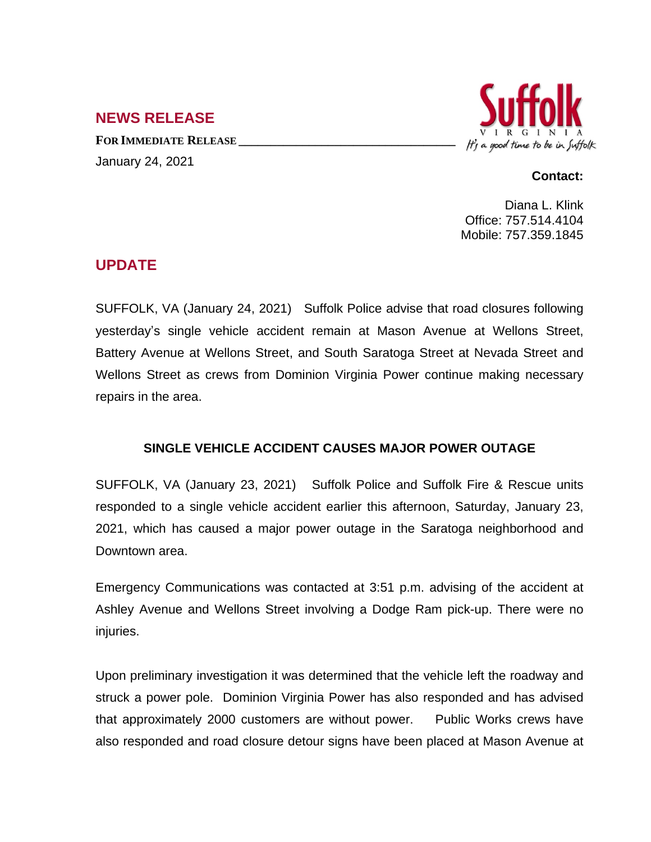## **NEWS RELEASE**

**FOR IMMEDIATE RELEASE \_\_\_\_\_\_\_\_\_\_\_\_\_\_\_\_\_\_\_\_\_\_\_\_\_\_\_\_\_\_\_\_\_\_** January 24, 2021



## **Contact:**

Diana L. Klink Office: 757.514.4104 Mobile: 757.359.1845

## **UPDATE**

SUFFOLK, VA (January 24, 2021) Suffolk Police advise that road closures following yesterday's single vehicle accident remain at Mason Avenue at Wellons Street, Battery Avenue at Wellons Street, and South Saratoga Street at Nevada Street and Wellons Street as crews from Dominion Virginia Power continue making necessary repairs in the area.

## **SINGLE VEHICLE ACCIDENT CAUSES MAJOR POWER OUTAGE**

SUFFOLK, VA (January 23, 2021) Suffolk Police and Suffolk Fire & Rescue units responded to a single vehicle accident earlier this afternoon, Saturday, January 23, 2021, which has caused a major power outage in the Saratoga neighborhood and Downtown area.

Emergency Communications was contacted at 3:51 p.m. advising of the accident at Ashley Avenue and Wellons Street involving a Dodge Ram pick-up. There were no injuries.

Upon preliminary investigation it was determined that the vehicle left the roadway and struck a power pole. Dominion Virginia Power has also responded and has advised that approximately 2000 customers are without power. Public Works crews have also responded and road closure detour signs have been placed at Mason Avenue at